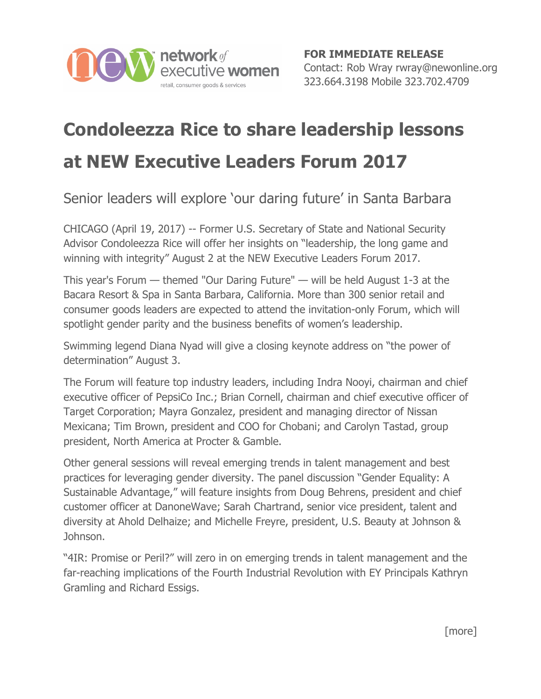

## **Condoleezza Rice to share leadership lessons**

## **at NEW Executive Leaders Forum 2017**

Senior leaders will explore 'our daring future' in Santa Barbara

CHICAGO (April 19, 2017) -- Former U.S. Secretary of State and National Security Advisor Condoleezza Rice will offer her insights on "leadership, the long game and winning with integrity" August 2 at the NEW Executive Leaders Forum 2017.

This year's Forum — themed "Our Daring Future" — will be held August 1-3 at the Bacara Resort & Spa in Santa Barbara, California. More than 300 senior retail and consumer goods leaders are expected to attend the invitation-only Forum, which will spotlight gender parity and the business benefits of women's leadership.

Swimming legend Diana Nyad will give a closing keynote address on "the power of determination" August 3.

The Forum will feature top industry leaders, including Indra Nooyi, chairman and chief executive officer of PepsiCo Inc.; Brian Cornell, chairman and chief executive officer of Target Corporation; Mayra Gonzalez, president and managing director of Nissan Mexicana; Tim Brown, president and COO for Chobani; and Carolyn Tastad, group president, North America at Procter & Gamble.

Other general sessions will reveal emerging trends in talent management and best practices for leveraging gender diversity. The panel discussion "Gender Equality: A Sustainable Advantage," will feature insights from Doug Behrens, president and chief customer officer at DanoneWave; Sarah Chartrand, senior vice president, talent and diversity at Ahold Delhaize; and Michelle Freyre, president, U.S. Beauty at Johnson & Johnson.

"4IR: Promise or Peril?" will zero in on emerging trends in talent management and the far-reaching implications of the Fourth Industrial Revolution with EY Principals Kathryn Gramling and Richard Essigs.